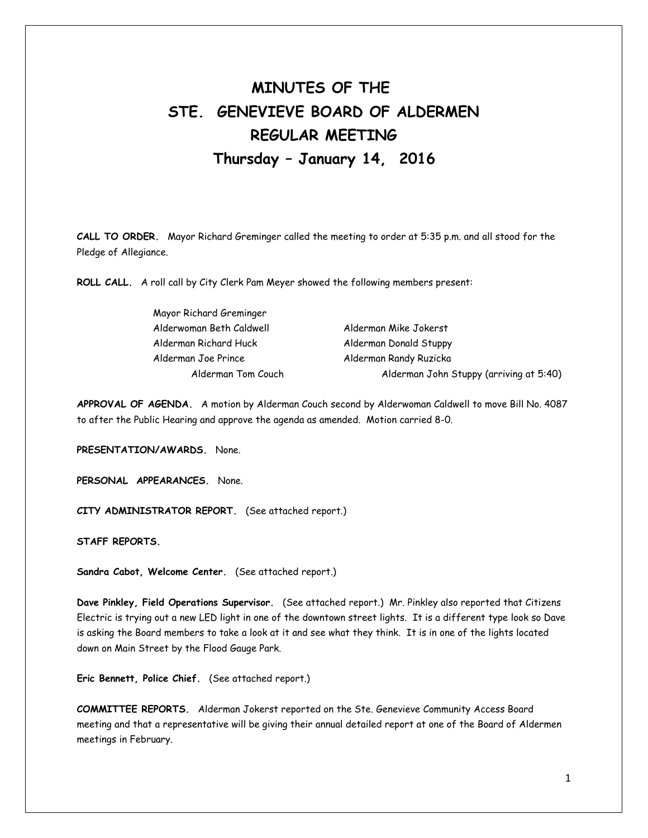# **MINUTES OF THE STE. GENEVIEVE BOARD OF ALDERMEN REGULAR MEETING Thursday – January 14, 2016**

**CALL TO ORDER.** Mayor Richard Greminger called the meeting to order at 5:35 p.m. and all stood for the Pledge of Allegiance.

**ROLL CALL.** A roll call by City Clerk Pam Meyer showed the following members present:

| Mayor Richard Greminger  |                                         |
|--------------------------|-----------------------------------------|
| Alderwoman Beth Caldwell | Alderman Mike Jokerst                   |
| Alderman Richard Huck    | Alderman Donald Stuppy                  |
| Alderman Joe Prince      | Alderman Randy Ruzicka                  |
| Alderman Tom Couch       | Alderman John Stuppy (arriving at 5:40) |

**APPROVAL OF AGENDA.** A motion by Alderman Couch second by Alderwoman Caldwell to move Bill No. 4087 to after the Public Hearing and approve the agenda as amended. Motion carried 8-0.

**PRESENTATION/AWARDS.** None.

**PERSONAL APPEARANCES.** None.

**CITY ADMINISTRATOR REPORT.** (See attached report.)

**STAFF REPORTS.** 

**Sandra Cabot, Welcome Center.** (See attached report.)

**Dave Pinkley, Field Operations Supervisor.** (See attached report.) Mr. Pinkley also reported that Citizens Electric is trying out a new LED light in one of the downtown street lights. It is a different type look so Dave is asking the Board members to take a look at it and see what they think. It is in one of the lights located down on Main Street by the Flood Gauge Park.

**Eric Bennett, Police Chief.** (See attached report.)

**COMMITTEE REPORTS.** Alderman Jokerst reported on the Ste. Genevieve Community Access Board meeting and that a representative will be giving their annual detailed report at one of the Board of Aldermen meetings in February.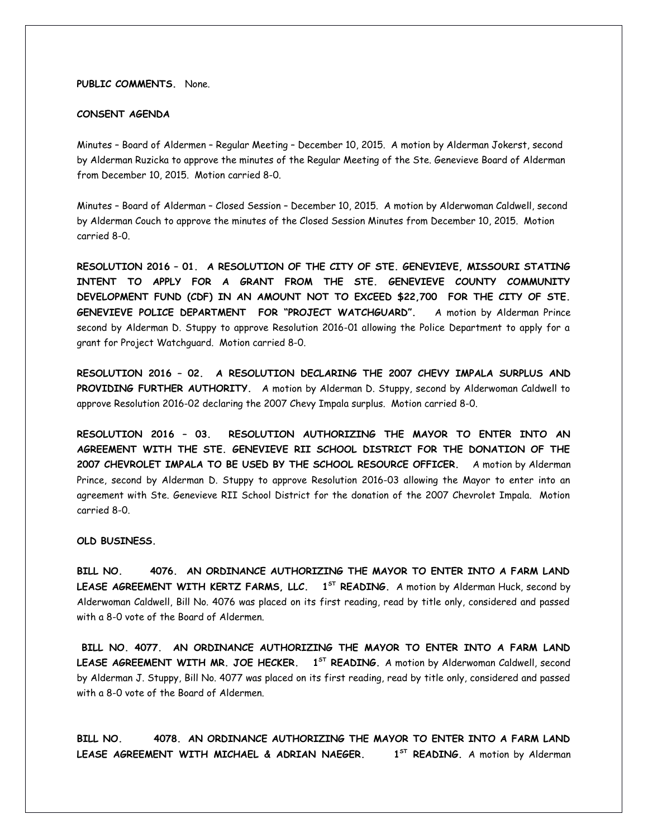**PUBLIC COMMENTS.** None.

#### **CONSENT AGENDA**

Minutes – Board of Aldermen – Regular Meeting – December 10, 2015. A motion by Alderman Jokerst, second by Alderman Ruzicka to approve the minutes of the Regular Meeting of the Ste. Genevieve Board of Alderman from December 10, 2015. Motion carried 8-0.

Minutes – Board of Alderman – Closed Session – December 10, 2015. A motion by Alderwoman Caldwell, second by Alderman Couch to approve the minutes of the Closed Session Minutes from December 10, 2015. Motion carried 8-0.

**RESOLUTION 2016 – 01. A RESOLUTION OF THE CITY OF STE. GENEVIEVE, MISSOURI STATING INTENT TO APPLY FOR A GRANT FROM THE STE. GENEVIEVE COUNTY COMMUNITY DEVELOPMENT FUND (CDF) IN AN AMOUNT NOT TO EXCEED \$22,700 FOR THE CITY OF STE. GENEVIEVE POLICE DEPARTMENT FOR "PROJECT WATCHGUARD".** A motion by Alderman Prince second by Alderman D. Stuppy to approve Resolution 2016-01 allowing the Police Department to apply for a grant for Project Watchguard. Motion carried 8-0.

**RESOLUTION 2016 – 02. A RESOLUTION DECLARING THE 2007 CHEVY IMPALA SURPLUS AND PROVIDING FURTHER AUTHORITY.** A motion by Alderman D. Stuppy, second by Alderwoman Caldwell to approve Resolution 2016-02 declaring the 2007 Chevy Impala surplus. Motion carried 8-0.

**RESOLUTION 2016 – 03. RESOLUTION AUTHORIZING THE MAYOR TO ENTER INTO AN AGREEMENT WITH THE STE. GENEVIEVE RII SCHOOL DISTRICT FOR THE DONATION OF THE 2007 CHEVROLET IMPALA TO BE USED BY THE SCHOOL RESOURCE OFFICER.** A motion by Alderman Prince, second by Alderman D. Stuppy to approve Resolution 2016-03 allowing the Mayor to enter into an agreement with Ste. Genevieve RII School District for the donation of the 2007 Chevrolet Impala. Motion carried 8-0.

**OLD BUSINESS.** 

**BILL NO. 4076. AN ORDINANCE AUTHORIZING THE MAYOR TO ENTER INTO A FARM LAND LEASE AGREEMENT WITH KERTZ FARMS, LLC. 1<sup>5T</sup> READING.** A motion by Alderman Huck, second by Alderwoman Caldwell, Bill No. 4076 was placed on its first reading, read by title only, considered and passed with a 8-0 vote of the Board of Aldermen.

**BILL NO. 4077. AN ORDINANCE AUTHORIZING THE MAYOR TO ENTER INTO A FARM LAND LEASE AGREEMENT WITH MR. JOE HECKER. 1 ST READING.** A motion by Alderwoman Caldwell, second by Alderman J. Stuppy, Bill No. 4077 was placed on its first reading, read by title only, considered and passed with a 8-0 vote of the Board of Aldermen.

**BILL NO. 4078. AN ORDINANCE AUTHORIZING THE MAYOR TO ENTER INTO A FARM LAND** LEASE AGREEMENT WITH MICHAEL & ADRIAN NAEGER.  $1^{57}$  **READING.** A motion by Alderman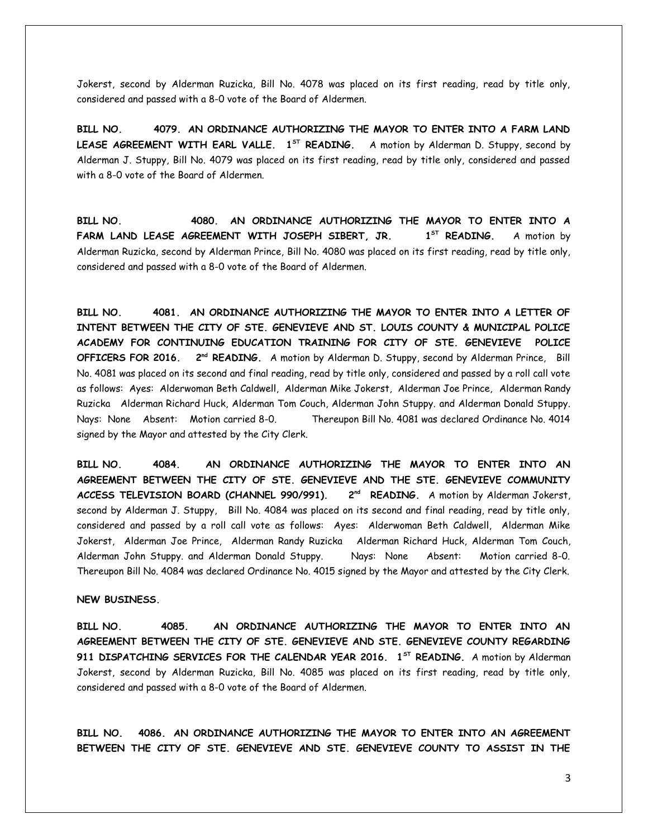Jokerst, second by Alderman Ruzicka, Bill No. 4078 was placed on its first reading, read by title only, considered and passed with a 8-0 vote of the Board of Aldermen.

**BILL NO. 4079. AN ORDINANCE AUTHORIZING THE MAYOR TO ENTER INTO A FARM LAND** LEASE AGREEMENT WITH EARL VALLE. 1<sup>ST</sup> READING. A motion by Alderman D. Stuppy, second by Alderman J. Stuppy, Bill No. 4079 was placed on its first reading, read by title only, considered and passed with a 8-0 vote of the Board of Aldermen.

**BILL NO. 4080. AN ORDINANCE AUTHORIZING THE MAYOR TO ENTER INTO A FARM LAND LEASE AGREEMENT WITH JOSEPH SIBERT, JR. 1** 1<sup>5T</sup> READING. A motion by Alderman Ruzicka, second by Alderman Prince, Bill No. 4080 was placed on its first reading, read by title only, considered and passed with a 8-0 vote of the Board of Aldermen.

**BILL NO. 4081. AN ORDINANCE AUTHORIZING THE MAYOR TO ENTER INTO A LETTER OF INTENT BETWEEN THE CITY OF STE. GENEVIEVE AND ST. LOUIS COUNTY & MUNICIPAL POLICE ACADEMY FOR CONTINUING EDUCATION TRAINING FOR CITY OF STE. GENEVIEVE POLICE OFFICERS FOR 2016. 2nd READING.** A motion by Alderman D. Stuppy, second by Alderman Prince, Bill No. 4081 was placed on its second and final reading, read by title only, considered and passed by a roll call vote as follows: Ayes: Alderwoman Beth Caldwell, Alderman Mike Jokerst, Alderman Joe Prince, Alderman Randy Ruzicka Alderman Richard Huck, Alderman Tom Couch, Alderman John Stuppy. and Alderman Donald Stuppy. Nays: None Absent: Motion carried 8-0. Thereupon Bill No. 4081 was declared Ordinance No. 4014 signed by the Mayor and attested by the City Clerk.

**BILL NO. 4084. AN ORDINANCE AUTHORIZING THE MAYOR TO ENTER INTO AN AGREEMENT BETWEEN THE CITY OF STE. GENEVIEVE AND THE STE. GENEVIEVE COMMUNITY** ACCESS TELEVISION BOARD (CHANNEL 990/991). 2<sup>nd</sup> READING. A motion by Alderman Jokerst, second by Alderman J. Stuppy, Bill No. 4084 was placed on its second and final reading, read by title only, considered and passed by a roll call vote as follows: Ayes: Alderwoman Beth Caldwell, Alderman Mike Jokerst, Alderman Joe Prince, Alderman Randy Ruzicka Alderman Richard Huck, Alderman Tom Couch, Alderman John Stuppy. and Alderman Donald Stuppy. Nays: None Absent: Motion carried 8-0. Thereupon Bill No. 4084 was declared Ordinance No. 4015 signed by the Mayor and attested by the City Clerk.

## **NEW BUSINESS.**

**BILL NO. 4085. AN ORDINANCE AUTHORIZING THE MAYOR TO ENTER INTO AN AGREEMENT BETWEEN THE CITY OF STE. GENEVIEVE AND STE. GENEVIEVE COUNTY REGARDING 911 DISPATCHING SERVICES FOR THE CALENDAR YEAR 2016. 1ST READING.** A motion by Alderman Jokerst, second by Alderman Ruzicka, Bill No. 4085 was placed on its first reading, read by title only, considered and passed with a 8-0 vote of the Board of Aldermen.

**BILL NO. 4086. AN ORDINANCE AUTHORIZING THE MAYOR TO ENTER INTO AN AGREEMENT BETWEEN THE CITY OF STE. GENEVIEVE AND STE. GENEVIEVE COUNTY TO ASSIST IN THE**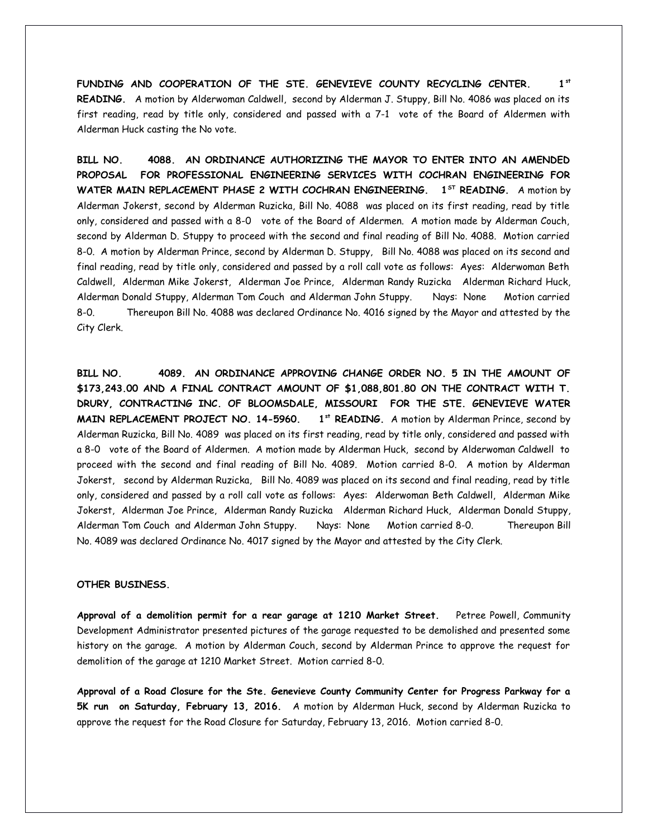**FUNDING AND COOPERATION OF THE STE. GENEVIEVE COUNTY RECYCLING CENTER. 1st READING.** A motion by Alderwoman Caldwell, second by Alderman J. Stuppy, Bill No. 4086 was placed on its first reading, read by title only, considered and passed with a 7-1 vote of the Board of Aldermen with Alderman Huck casting the No vote.

**BILL NO. 4088. AN ORDINANCE AUTHORIZING THE MAYOR TO ENTER INTO AN AMENDED PROPOSAL FOR PROFESSIONAL ENGINEERING SERVICES WITH COCHRAN ENGINEERING FOR WATER MAIN REPLACEMENT PHASE 2 WITH COCHRAN ENGINEERING. 1ST READING.** A motion by Alderman Jokerst, second by Alderman Ruzicka, Bill No. 4088 was placed on its first reading, read by title only, considered and passed with a 8-0 vote of the Board of Aldermen. A motion made by Alderman Couch, second by Alderman D. Stuppy to proceed with the second and final reading of Bill No. 4088. Motion carried 8-0. A motion by Alderman Prince, second by Alderman D. Stuppy, Bill No. 4088 was placed on its second and final reading, read by title only, considered and passed by a roll call vote as follows: Ayes: Alderwoman Beth Caldwell, Alderman Mike Jokerst, Alderman Joe Prince, Alderman Randy Ruzicka Alderman Richard Huck, Alderman Donald Stuppy, Alderman Tom Couch and Alderman John Stuppy. Nays: None Motion carried 8-0. Thereupon Bill No. 4088 was declared Ordinance No. 4016 signed by the Mayor and attested by the City Clerk.

**BILL NO. 4089. AN ORDINANCE APPROVING CHANGE ORDER NO. 5 IN THE AMOUNT OF \$173,243.00 AND A FINAL CONTRACT AMOUNT OF \$1,088,801.80 ON THE CONTRACT WITH T. DRURY, CONTRACTING INC. OF BLOOMSDALE, MISSOURI FOR THE STE. GENEVIEVE WATER MAIN REPLACEMENT PROJECT NO. 14-5960. 1st READING.** A motion by Alderman Prince, second by Alderman Ruzicka, Bill No. 4089 was placed on its first reading, read by title only, considered and passed with a 8-0 vote of the Board of Aldermen. A motion made by Alderman Huck, second by Alderwoman Caldwell to proceed with the second and final reading of Bill No. 4089. Motion carried 8-0. A motion by Alderman Jokerst, second by Alderman Ruzicka, Bill No. 4089 was placed on its second and final reading, read by title only, considered and passed by a roll call vote as follows: Ayes: Alderwoman Beth Caldwell, Alderman Mike Jokerst, Alderman Joe Prince, Alderman Randy Ruzicka Alderman Richard Huck, Alderman Donald Stuppy, Alderman Tom Couch and Alderman John Stuppy. Nays: None Motion carried 8-0. Thereupon Bill No. 4089 was declared Ordinance No. 4017 signed by the Mayor and attested by the City Clerk.

#### **OTHER BUSINESS.**

**Approval of a demolition permit for a rear garage at 1210 Market Street.** Petree Powell, Community Development Administrator presented pictures of the garage requested to be demolished and presented some history on the garage. A motion by Alderman Couch, second by Alderman Prince to approve the request for demolition of the garage at 1210 Market Street. Motion carried 8-0.

**Approval of a Road Closure for the Ste. Genevieve County Community Center for Progress Parkway for a 5K run on Saturday, February 13, 2016.** A motion by Alderman Huck, second by Alderman Ruzicka to approve the request for the Road Closure for Saturday, February 13, 2016. Motion carried 8-0.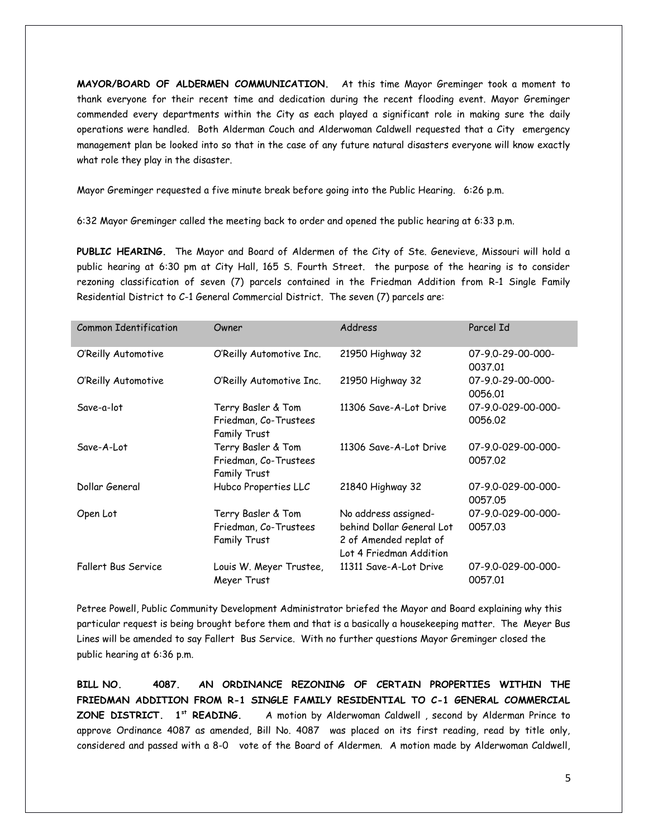**MAYOR/BOARD OF ALDERMEN COMMUNICATION.** At this time Mayor Greminger took a moment to thank everyone for their recent time and dedication during the recent flooding event. Mayor Greminger commended every departments within the City as each played a significant role in making sure the daily operations were handled. Both Alderman Couch and Alderwoman Caldwell requested that a City emergency management plan be looked into so that in the case of any future natural disasters everyone will know exactly what role they play in the disaster.

Mayor Greminger requested a five minute break before going into the Public Hearing. 6:26 p.m.

6:32 Mayor Greminger called the meeting back to order and opened the public hearing at 6:33 p.m.

**PUBLIC HEARING.** The Mayor and Board of Aldermen of the City of Ste. Genevieve, Missouri will hold a public hearing at 6:30 pm at City Hall, 165 S. Fourth Street. the purpose of the hearing is to consider rezoning classification of seven (7) parcels contained in the Friedman Addition from R-1 Single Family Residential District to C-1 General Commercial District. The seven (7) parcels are:

| <b>Common Identification</b> | Owner                                                       | Address                                                                                                | Parcel Id                     |
|------------------------------|-------------------------------------------------------------|--------------------------------------------------------------------------------------------------------|-------------------------------|
| O'Reilly Automotive          | O'Reilly Automotive Inc.                                    | 21950 Highway 32                                                                                       | 07-9.0-29-00-000-<br>0037.01  |
| O'Reilly Automotive          | O'Reilly Automotive Inc.                                    | 21950 Highway 32                                                                                       | 07-9.0-29-00-000-<br>0056.01  |
| Save-a-lot                   | Terry Basler & Tom<br>Friedman, Co-Trustees<br>Family Trust | 11306 Save-A-Lot Drive                                                                                 | 07-9.0-029-00-000-<br>0056.02 |
| Save-A-Lot                   | Terry Basler & Tom<br>Friedman, Co-Trustees<br>Family Trust | 11306 Save-A-Lot Drive                                                                                 | 07-9.0-029-00-000-<br>0057.02 |
| Dollar General               | Hubco Properties LLC                                        | 21840 Highway 32                                                                                       | 07-9.0-029-00-000-<br>0057.05 |
| Open Lot                     | Terry Basler & Tom<br>Friedman, Co-Trustees<br>Family Trust | No address assigned-<br>behind Dollar General Lot<br>2 of Amended replat of<br>Lot 4 Friedman Addition | 07-9.0-029-00-000-<br>0057.03 |
| Fallert Bus Service          | Louis W. Meyer Trustee,<br>Meyer Trust                      | 11311 Save-A-Lot Drive                                                                                 | 07-9.0-029-00-000-<br>0057.01 |

Petree Powell, Public Community Development Administrator briefed the Mayor and Board explaining why this particular request is being brought before them and that is a basically a housekeeping matter. The Meyer Bus Lines will be amended to say Fallert Bus Service. With no further questions Mayor Greminger closed the public hearing at 6:36 p.m.

**BILL NO. 4087. AN ORDINANCE REZONING OF CERTAIN PROPERTIES WITHIN THE FRIEDMAN ADDITION FROM R-1 SINGLE FAMILY RESIDENTIAL TO C-1 GENERAL COMMERCIAL ZONE DISTRICT. 1st READING.** A motion by Alderwoman Caldwell , second by Alderman Prince to approve Ordinance 4087 as amended, Bill No. 4087 was placed on its first reading, read by title only, considered and passed with a 8-0 vote of the Board of Aldermen. A motion made by Alderwoman Caldwell,